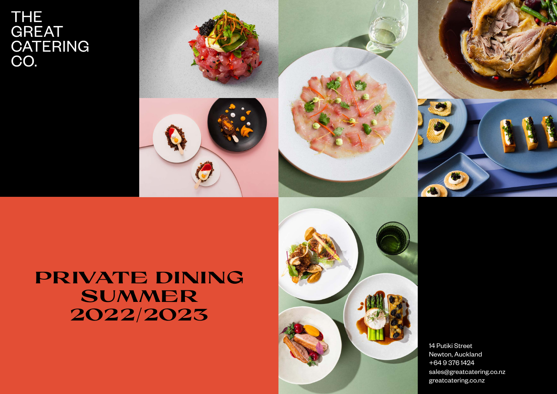# THE<br>GREAT<br>CATERING<br>CO.



# **PRIVATE DINING SUMMER 2022/2023**



14 Putiki Street Newton, Auckland +64 9 376 1424 sales@greatcatering.co.nz greatcatering.co.nz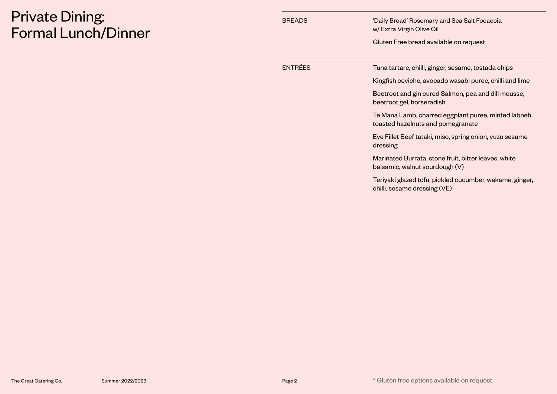# Private Dining: Formal Lunch/Dinner

| <b>BREADS</b> | 'Daily Bread' Rosemary and Sea Salt Focaccia<br>w/ Extra Virgin Olive Oil<br>Gluten Free bread available on request |
|---------------|---------------------------------------------------------------------------------------------------------------------|
|               |                                                                                                                     |
| ENTRÉES       | Tuna tartare, chilli, ginger, sesame, tostada chips                                                                 |
|               | Kingfish ceviche, avocado wasabi puree, chilli and lime                                                             |
|               | Beetroot and gin cured Salmon, pea and dill mousse,<br>beetroot gel, horseradish                                    |
|               | Te Mana Lamb, charred eggplant puree, minted labneh,<br>toasted hazelnuts and pomegranate                           |
|               | Eye Fillet Beef tataki, miso, spring onion, yuzu sesame<br>dressing                                                 |
|               | Marinated Burrata, stone fruit, bitter leaves, white<br>balsamic, walnut sourdough (V)                              |
|               | Teriyaki glazed tofu, pickled cucumber, wakame, ginger,<br>chilli, sesame dressing (VE)                             |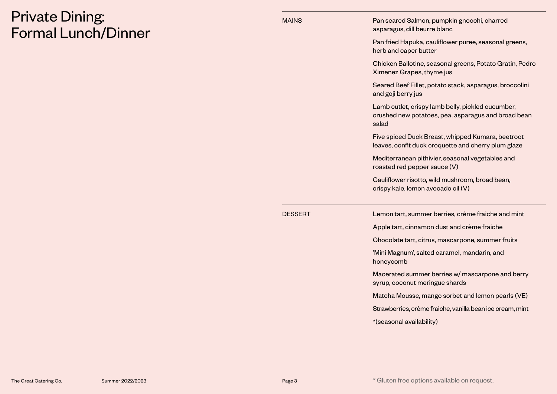# Private Dining: Formal Lunch/Dinner

| MAINS   | Pan seared Salmon, pumpkin gnocchi, charred<br>asparagus, dill beurre blanc                                       |
|---------|-------------------------------------------------------------------------------------------------------------------|
|         | Pan fried Hapuka, cauliflower puree, seasonal greens,<br>herb and caper butter                                    |
|         | Chicken Ballotine, seasonal greens, Potato Gratin, Pedro<br>Ximenez Grapes, thyme jus                             |
|         | Seared Beef Fillet, potato stack, asparagus, broccolini<br>and goji berry jus                                     |
|         | Lamb cutlet, crispy lamb belly, pickled cucumber,<br>crushed new potatoes, pea, asparagus and broad bean<br>salad |
|         | Five spiced Duck Breast, whipped Kumara, beetroot<br>leaves, confit duck croquette and cherry plum glaze          |
|         | Mediterranean pithivier, seasonal vegetables and<br>roasted red pepper sauce (V)                                  |
|         | Cauliflower risotto, wild mushroom, broad bean,<br>crispy kale, lemon avocado oil (V)                             |
| DESSERT | Lemon tart, summer berries, crème fraiche and mint                                                                |
|         | Apple tart, cinnamon dust and crème fraiche                                                                       |
|         | Chocolate tart, citrus, mascarpone, summer fruits                                                                 |
|         | 'Mini Magnum', salted caramel, mandarin, and<br>honeycomb                                                         |
|         | Macerated summer berries w/ mascarpone and berry<br>syrup, coconut meringue shards                                |
|         | Matcha Mousse, mango sorbet and lemon pearls (VE)                                                                 |
|         | Strawberries, crème fraiche, vanilla bean ice cream, mint                                                         |
|         | *(seasonal availability)                                                                                          |
|         |                                                                                                                   |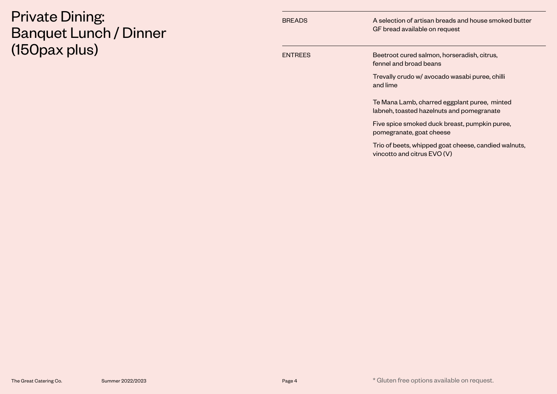#### Private Dining: Banquet Lunch / Dinner (150pax plus)

| <b>BREADS</b>  | A selection of artisan breads and house smoked butter<br>GF bread available on request    |
|----------------|-------------------------------------------------------------------------------------------|
| <b>ENTREES</b> | Beetroot cured salmon, horseradish, citrus,<br>fennel and broad beans                     |
|                | Trevally crudo w/ avocado wasabi puree, chilli<br>and lime                                |
|                | Te Mana Lamb, charred eggplant puree, minted<br>labneh, toasted hazelnuts and pomegranate |
|                | Five spice smoked duck breast, pumpkin puree,<br>pomegranate, goat cheese                 |
|                | Trio of beets, whipped goat cheese, candied walnuts,<br>vincotto and citrus EVO (V)       |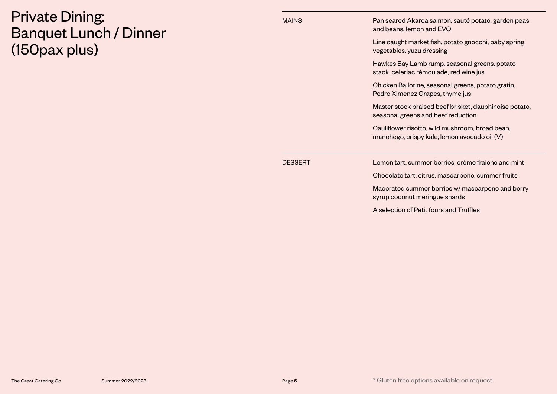#### Private Dining: Banquet Lunch / Dinner (150pax plus)

| <b>MAINS</b> | Pan seared Akaroa salmon, sauté potato, garden peas<br>and beans, lemon and EVO                 |
|--------------|-------------------------------------------------------------------------------------------------|
|              | Line caught market fish, potato gnocchi, baby spring<br>vegetables, yuzu dressing               |
|              | Hawkes Bay Lamb rump, seasonal greens, potato<br>stack, celeriac rémoulade, red wine jus        |
|              | Chicken Ballotine, seasonal greens, potato gratin,<br>Pedro Ximenez Grapes, thyme jus           |
|              | Master stock braised beef brisket, dauphinoise potato,<br>seasonal greens and beef reduction    |
|              | Cauliflower risotto, wild mushroom, broad bean,<br>manchego, crispy kale, lemon avocado oil (V) |
| DESSERT      | Lemon tart, summer berries, crème fraiche and mint                                              |
|              | Chocolate tart, citrus, mascarpone, summer fruits                                               |
|              | Macerated summer berries w/ mascarpone and berry<br>syrup coconut meringue shards               |
|              | A selection of Petit fours and Truffles                                                         |
|              |                                                                                                 |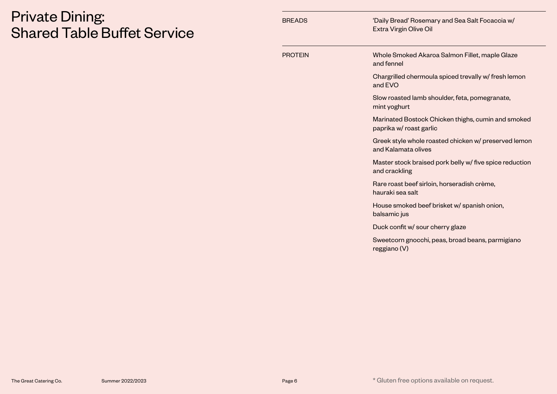## Private Dining: Shared Table Buffet Service

| <b>BREADS</b>  | 'Daily Bread' Rosemary and Sea Salt Focaccia w/<br>Extra Virgin Olive Oil     |
|----------------|-------------------------------------------------------------------------------|
| <b>PROTEIN</b> | Whole Smoked Akaroa Salmon Fillet, maple Glaze<br>and fennel                  |
|                | Chargrilled chermoula spiced trevally w/ fresh lemon<br>and EVO               |
|                | Slow roasted lamb shoulder, feta, pomegranate,<br>mint yoghurt                |
|                | Marinated Bostock Chicken thighs, cumin and smoked<br>paprika w/ roast garlic |
|                | Greek style whole roasted chicken w/ preserved lemon<br>and Kalamata olives   |
|                | Master stock braised pork belly w/ five spice reduction<br>and crackling      |
|                | Rare roast beef sirloin, horseradish crème,<br>hauraki sea salt               |
|                | House smoked beef brisket w/ spanish onion,<br>balsamic jus                   |
|                | Duck confit w/ sour cherry glaze                                              |
|                | Sweetcorn gnocchi, peas, broad beans, parmigiano<br>reggiano (V)              |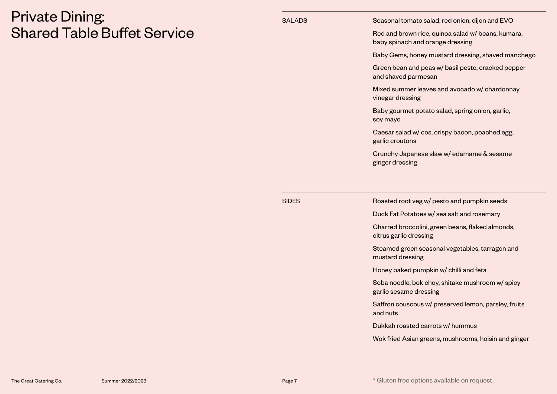#### Private Dining: Shared Table Buffet Service

| <b>SALADS</b> | Seasonal tomato salad, red onion, dijon and EVO                                        |
|---------------|----------------------------------------------------------------------------------------|
|               | Red and brown rice, quinoa salad w/ beans, kumara,<br>baby spinach and orange dressing |
|               | Baby Gems, honey mustard dressing, shaved manchego                                     |
|               | Green bean and peas w/ basil pesto, cracked pepper<br>and shaved parmesan              |
|               | Mixed summer leaves and avocado w/ chardonnay<br>vinegar dressing                      |
|               | Baby gourmet potato salad, spring onion, garlic,<br>soy mayo                           |
|               | Caesar salad w/ cos, crispy bacon, poached egg,<br>garlic croutons                     |
|               | Crunchy Japanese slaw w/ edamame & sesame                                              |
|               | ginger dressing                                                                        |
|               |                                                                                        |
| <b>SIDES</b>  | Roasted root veg w/ pesto and pumpkin seeds                                            |
|               | Duck Fat Potatoes w/ sea salt and rosemary                                             |
|               | Charred broccolini, green beans, flaked almonds,<br>citrus garlic dressing             |
|               | Steamed green seasonal vegetables, tarragon and<br>mustard dressing                    |
|               | Honey baked pumpkin w/ chilli and feta                                                 |
|               | Soba noodle, bok choy, shitake mushroom w/ spicy<br>garlic sesame dressing             |
|               | Saffron couscous w/ preserved lemon, parsley, fruits<br>and nuts                       |
|               | Dukkah roasted carrots w/ hummus                                                       |

Wok fried Asian greens, mushrooms, hoisin and ginger